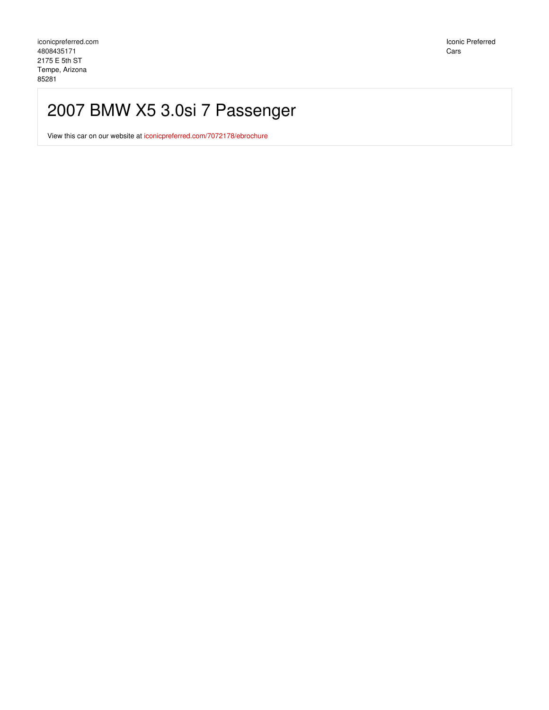## 2007 BMW X5 3.0si 7 Passenger

View this car on our website at [iconicpreferred.com/7072178/ebrochure](https://iconicpreferred.com/vehicle/7072178/2007-bmw-x5-3-0si-7-passenger-tempe-arizona-85281/7072178/ebrochure)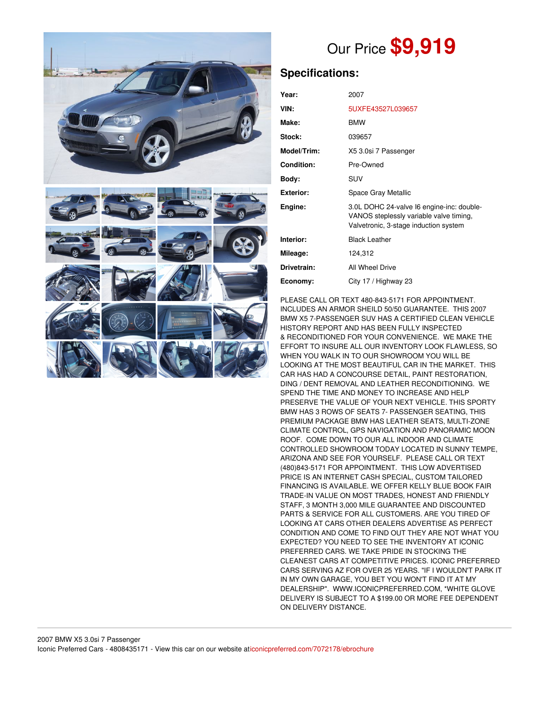



# Our Price **\$9,919**

### **Specifications:**

| 2007                                                                                                                          |
|-------------------------------------------------------------------------------------------------------------------------------|
| 5UXFE43527L039657                                                                                                             |
| <b>BMW</b>                                                                                                                    |
| 039657                                                                                                                        |
| X5 3.0si 7 Passenger                                                                                                          |
| Pre-Owned                                                                                                                     |
| <b>SUV</b>                                                                                                                    |
| Space Gray Metallic                                                                                                           |
| 3.0L DOHC 24-valve I6 engine-inc: double-<br>VANOS steplessly variable valve timing,<br>Valvetronic, 3-stage induction system |
| <b>Black Leather</b>                                                                                                          |
| 124,312                                                                                                                       |
| All Wheel Drive                                                                                                               |
| City 17 / Highway 23                                                                                                          |
|                                                                                                                               |

PLEASE CALL OR TEXT 480-843-5171 FOR APPOINTMENT. INCLUDES AN ARMOR SHEILD 50/50 GUARANTEE. THIS 2007 BMW X5 7-PASSENGER SUV HAS A CERTIFIED CLEAN VEHICLE HISTORY REPORT AND HAS BEEN FULLY INSPECTED & RECONDITIONED FOR YOUR CONVENIENCE. WE MAKE THE EFFORT TO INSURE ALL OUR INVENTORY LOOK FLAWLESS, SO WHEN YOU WALK IN TO OUR SHOWROOM YOU WILL BE LOOKING AT THE MOST BEAUTIFUL CAR IN THE MARKET. THIS CAR HAS HAD A CONCOURSE DETAIL, PAINT RESTORATION, DING / DENT REMOVAL AND LEATHER RECONDITIONING. WE SPEND THE TIME AND MONEY TO INCREASE AND HELP PRESERVE THE VALUE OF YOUR NEXT VEHICLE. THIS SPORTY BMW HAS 3 ROWS OF SEATS 7- PASSENGER SEATING, THIS PREMIUM PACKAGE BMW HAS LEATHER SEATS, MULTI-ZONE CLIMATE CONTROL, GPS NAVIGATION AND PANORAMIC MOON ROOF. COME DOWN TO OUR ALL INDOOR AND CLIMATE CONTROLLED SHOWROOM TODAY LOCATED IN SUNNY TEMPE, ARIZONA AND SEE FOR YOURSELF. PLEASE CALL OR TEXT (480)843-5171 FOR APPOINTMENT. THIS LOW ADVERTISED PRICE IS AN INTERNET CASH SPECIAL, CUSTOM TAILORED FINANCING IS AVAILABLE. WE OFFER KELLY BLUE BOOK FAIR TRADE-IN VALUE ON MOST TRADES, HONEST AND FRIENDLY STAFF, 3 MONTH 3,000 MILE GUARANTEE AND DISCOUNTED PARTS & SERVICE FOR ALL CUSTOMERS. ARE YOU TIRED OF LOOKING AT CARS OTHER DEALERS ADVERTISE AS PERFECT CONDITION AND COME TO FIND OUT THEY ARE NOT WHAT YOU EXPECTED? YOU NEED TO SEE THE INVENTORY AT ICONIC PREFERRED CARS. WE TAKE PRIDE IN STOCKING THE CLEANEST CARS AT COMPETITIVE PRICES. ICONIC PREFERRED CARS SERVING AZ FOR OVER 25 YEARS. "IF I WOULDN'T PARK IT IN MY OWN GARAGE, YOU BET YOU WON'T FIND IT AT MY DEALERSHIP". WWW.ICONICPREFERRED.COM, \*WHITE GLOVE DELIVERY IS SUBJECT TO A \$199.00 OR MORE FEE DEPENDENT ON DELIVERY DISTANCE.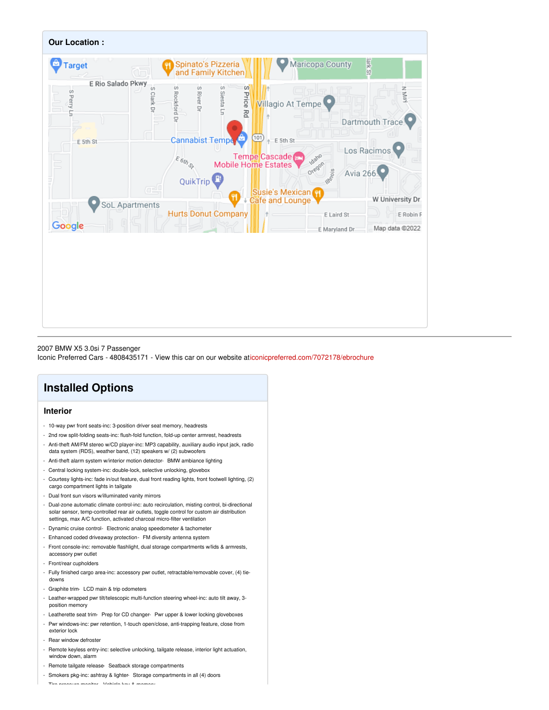

#### 2007 BMW X5 3.0si 7 Passenger

Iconic Preferred Cars - 4808435171 - View this car on our website a[ticonicpreferred.com/7072178/ebrochure](https://iconicpreferred.com/vehicle/7072178/2007-bmw-x5-3-0si-7-passenger-tempe-arizona-85281/7072178/ebrochure)

### **Installed Options**

#### **Interior**

- 10-way pwr front seats-inc: 3-position driver seat memory, headrests
- 2nd row split-folding seats-inc: flush-fold function, fold-up center armrest, headrests
- Anti-theft AM/FM stereo w/CD player-inc: MP3 capability, auxiliary audio input jack, radio data system (RDS), weather band, (12) speakers w/ (2) subwoofers
- Anti-theft alarm system w/interior motion detector- BMW ambiance lighting
- Central locking system-inc: double-lock, selective unlocking, glovebox
- Courtesy lights-inc: fade in/out feature, dual front reading lights, front footwell lighting, (2) cargo compartment lights in tailgate
- Dual front sun visors w/illuminated vanity mirrors
- Dual-zone automatic climate control-inc: auto recirculation, misting control, bi-directional solar sensor, temp-controlled rear air outlets, toggle control for custom air distribution settings, max A/C function, activated charcoal micro-filter ventilation
- Dynamic cruise control- Electronic analog speedometer & tachometer
- Enhanced coded driveaway protection- FM diversity antenna system
- Front console-inc: removable flashlight, dual storage compartments w/lids & armrests, accessory pwr outlet
- Front/rear cupholders
- Fully finished cargo area-inc: accessory pwr outlet, retractable/removable cover, (4) tiedowns
- Graphite trim- LCD main & trip odometers
- Leather-wrapped pwr tilt/telescopic multi-function steering wheel-inc: auto tilt away, 3 position memory
- Leatherette seat trim- Prep for CD changer- Pwr upper & lower locking gloveboxes
- Pwr windows-inc: pwr retention, 1-touch open/close, anti-trapping feature, close from exterior lock
- Rear window defroster
- Remote keyless entry-inc: selective unlocking, tailgate release, interior light actuation, window down, alarm
- Remote tailgate release- Seatback storage compartments
- Smokers pkg-inc: ashtray & lighter- Storage compartments in all (4) doors

- Tire pressure monitor- Vehicle key & memory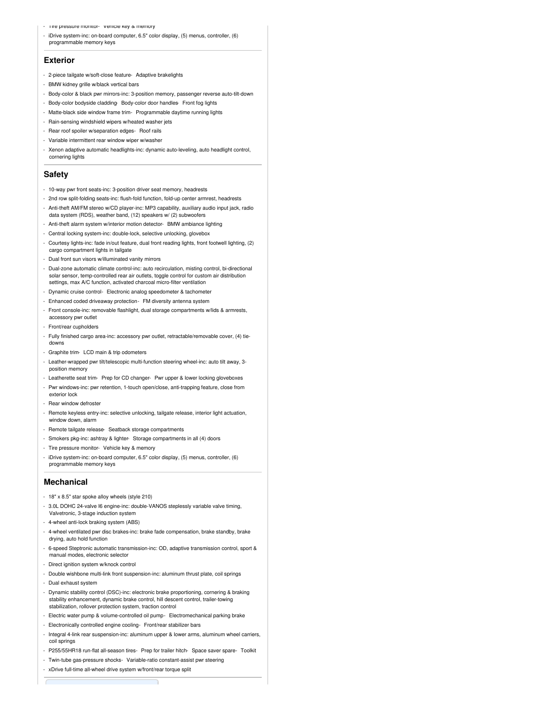- Tire pressure monitor- vehicle key & memory
- iDrive system-inc: on-board computer, 6.5" color display, (5) menus, controller, (6) programmable memory keys

#### **Exterior**

- 2-piece tailgate w/soft-close feature- Adaptive brakelights
- BMW kidney grille w/black vertical bars
- Body-color & black pwr mirrors-inc: 3-position memory, passenger reverse auto-tilt-down
- Body-color bodyside cladding- Body-color door handles- Front fog lights
- Matte-black side window frame trim- Programmable daytime running lights
- Rain-sensing windshield wipers w/heated washer jets
- Rear roof spoiler w/separation edges- Roof rails
- Variable intermittent rear window wiper w/washer
- Xenon adaptive automatic headlights-inc: dynamic auto-leveling, auto headlight control, cornering lights

#### **Safety**

- 10-way pwr front seats-inc: 3-position driver seat memory, headrests
- 2nd row split-folding seats-inc: flush-fold function, fold-up center armrest, headrests
- Anti-theft AM/FM stereo w/CD player-inc: MP3 capability, auxiliary audio input jack, radio data system (RDS), weather band, (12) speakers w/ (2) subwoofers
- Anti-theft alarm system w/interior motion detector- BMW ambiance lighting
- Central locking system-inc: double-lock, selective unlocking, glovebox
- Courtesy lights-inc: fade in/out feature, dual front reading lights, front footwell lighting, (2) cargo compartment lights in tailgate
- Dual front sun visors w/illuminated vanity mirrors
- Dual-zone automatic climate control-inc: auto recirculation, misting control, bi-directional solar sensor, temp-controlled rear air outlets, toggle control for custom air distribution settings, max A/C function, activated charcoal micro-filter ventilation
- Dynamic cruise control- Electronic analog speedometer & tachometer
- Enhanced coded driveaway protection- FM diversity antenna system
- Front console-inc: removable flashlight, dual storage compartments w/lids & armrests, accessory pwr outlet
- Front/rear cupholders
- Fully finished cargo area-inc: accessory pwr outlet, retractable/removable cover, (4) tiedowns
- Graphite trim- LCD main & trip odometers
- Leather-wrapped pwr tilt/telescopic multi-function steering wheel-inc: auto tilt away, 3 position memory
- Leatherette seat trim- Prep for CD changer- Pwr upper & lower locking gloveboxes
- Pwr windows-inc: pwr retention, 1-touch open/close, anti-trapping feature, close from exterior lock
- Rear window defroster
- Remote keyless entry-inc: selective unlocking, tailgate release, interior light actuation, window down, alarm
- Remote tailgate release- Seatback storage compartments
- Smokers pkg-inc: ashtray & lighter- Storage compartments in all (4) doors
- Tire pressure monitor- Vehicle key & memory
- iDrive system-inc: on-board computer, 6.5" color display, (5) menus, controller, (6) programmable memory keys

#### **Mechanical**

- 18" x 8.5" star spoke alloy wheels (style 210)
- 3.0L DOHC 24-valve I6 engine-inc: double-VANOS steplessly variable valve timing, Valvetronic, 3-stage induction system
- 4-wheel anti-lock braking system (ABS)
- 4-wheel ventilated pwr disc brakes-inc: brake fade compensation, brake standby, brake drying, auto hold function
- 6-speed Steptronic automatic transmission-inc: OD, adaptive transmission control, sport & manual modes, electronic selector
- Direct ignition system w/knock control
- Double wishbone multi-link front suspension-inc: aluminum thrust plate, coil springs
- Dual exhaust system
- Dynamic stability control (DSC)-inc: electronic brake proportioning, cornering & braking stability enhancement, dynamic brake control, hill descent control, trailer-towing stabilization, rollover protection system, traction control
- Electric water pump & volume-controlled oil pump- Electromechanical parking brake
- Electronically controlled engine cooling- Front/rear stabilizer bars
- Integral 4-link rear suspension-inc: aluminum upper & lower arms, aluminum wheel carriers, coil springs
- P255/55HR18 run-flat all-season tires- Prep for trailer hitch- Space saver spare- Toolkit
- Twin-tube gas-pressure shocks- Variable-ratio constant-assist pwr steering
- xDrive full-time all-wheel drive system w/front/rear torque split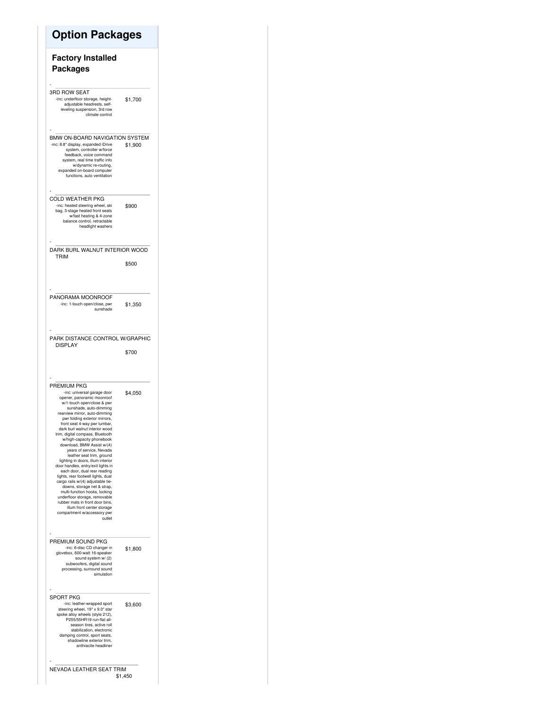## **Option Packages**

| <b>Packages</b>                                                                                                                                                                                                                                                                                                                                                                                                                                                                                                                                                                                                                                                                                                                                                                                                               |         |
|-------------------------------------------------------------------------------------------------------------------------------------------------------------------------------------------------------------------------------------------------------------------------------------------------------------------------------------------------------------------------------------------------------------------------------------------------------------------------------------------------------------------------------------------------------------------------------------------------------------------------------------------------------------------------------------------------------------------------------------------------------------------------------------------------------------------------------|---------|
| <b>3RD ROW SEAT</b><br>-inc: underfloor storage, height-<br>adjustable headrests, self-<br>leveling suspension, 3rd row<br>climate control                                                                                                                                                                                                                                                                                                                                                                                                                                                                                                                                                                                                                                                                                    | \$1,700 |
| BMW ON-BOARD NAVIGATION SYSTEM<br>-inc: 8.8" display, expanded iDrive<br>system, controller w/force<br>feedback, voice command<br>system, real time traffic info<br>w/dynamic re-routing,<br>expanded on-board computer<br>functions, auto ventilation                                                                                                                                                                                                                                                                                                                                                                                                                                                                                                                                                                        | \$1,900 |
| <b>COLD WEATHER PKG</b><br>-inc: heated steering wheel, ski<br>bag, 3-stage heated front seats<br>w/fast heating & 4-zone<br>balance control, retractable<br>headlight washers                                                                                                                                                                                                                                                                                                                                                                                                                                                                                                                                                                                                                                                | \$900   |
| DARK BURL WALNUT INTERIOR WOOD<br>TRIM                                                                                                                                                                                                                                                                                                                                                                                                                                                                                                                                                                                                                                                                                                                                                                                        |         |
|                                                                                                                                                                                                                                                                                                                                                                                                                                                                                                                                                                                                                                                                                                                                                                                                                               | \$500   |
| PANORAMA MOONROOF<br>-inc: 1-touch open/close, pwr<br>sunshade                                                                                                                                                                                                                                                                                                                                                                                                                                                                                                                                                                                                                                                                                                                                                                | \$1,350 |
| PARK DISTANCE CONTROL W/GRAPHIC<br><b>DISPLAY</b>                                                                                                                                                                                                                                                                                                                                                                                                                                                                                                                                                                                                                                                                                                                                                                             |         |
|                                                                                                                                                                                                                                                                                                                                                                                                                                                                                                                                                                                                                                                                                                                                                                                                                               | \$700   |
|                                                                                                                                                                                                                                                                                                                                                                                                                                                                                                                                                                                                                                                                                                                                                                                                                               |         |
| PREMIUM PKG<br>-inc: universal garage door<br>opener, panoramic moonroof<br>w/1-touch open/close & pwr<br>sunshade, auto-dimming<br>rearview mirror, auto-dimming<br>pwr folding exterior mirrors,<br>front seat 4-way pwr lumbar,<br>dark burl walnut interior wood<br>trim, digital compass, Bluetooth<br>w/high-capacity phonebook<br>download, BMW Assist w/(4)<br>years of service, Nevada<br>leather seat trim, ground<br>lighting in doors, illum interior<br>door handles, entry/exit lights in<br>each door, dual rear reading<br>lights, rear footwell lights, dual<br>cargo rails w/(4) adjustable tie-<br>downs, storage net & strap,<br>multi-function hooks, locking<br>underfloor storage, removable<br>rubber mats in front door bins,<br>illum front center storage<br>compartment w/accessory pwr<br>outlet | \$4,050 |
| PREMIUM SOUND PKG<br>-inc: 6-disc CD changer in<br>glovebox, 600-watt 16-speaker<br>sound system w/ (2)<br>subwoofers, digital sound<br>processing, surround sound<br>simulation                                                                                                                                                                                                                                                                                                                                                                                                                                                                                                                                                                                                                                              | \$1,800 |